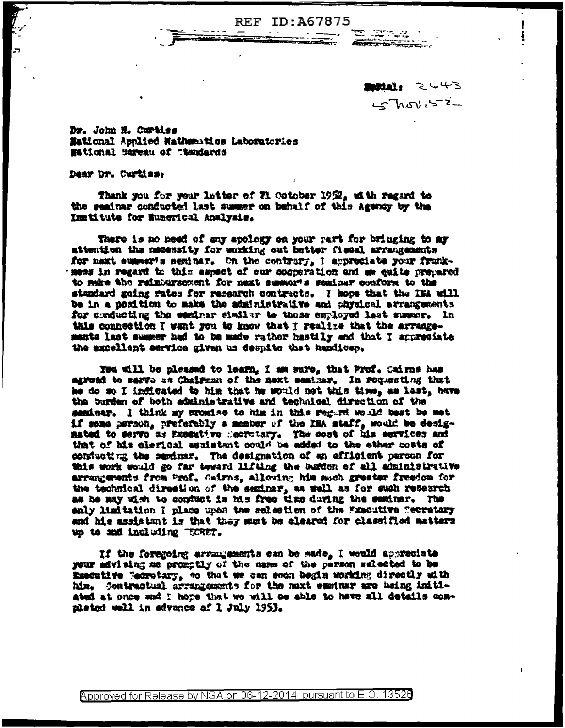**REF ID: A67875** 

Mill: 2643  $5 - 2 - 4$ 

<u>te anda</u>

Dr. John H. Curtiss Mational Applied Mathumatics Laboratories Wetignal Sureau of Thandards

Dear Dr. Curtiss:

Thank you for your letter of 21 October 1952, with regard to the seainar conducted last summer on behalf of this Agency by the Institute for Eumerical Analysis.

There is no need of any apology on your part for bringing to my attention the necessity for working out better fiecal arrangements for next summer's seminar. On the contrary, I appreciate your frankmess in regard to this assect of our cooperation and am ealte prepared to make the relabursement for next summor's seainsr conform to the standard going rates for research contracts. I hope that the INA will be in a position to make the administrative and physical arrangements for conducting the easinar similar to those employed last susper. In this connection I want you to know that I realize that the arrangements last summer had to be made rather hastily and that I appropiate the excellent sarvice given us despite that handicap.

You will be pleased to learn, I am sure, that Prof. Cairns has agread to serve as Chairman of the next seminar. In requesting that he do so I indicated to him that he would not this time, as last, have the burden of both administrative and technical direction of the seminar. I think my promise to him in this regard would best be met if some person, preferably a memor of the IRA staff, would be designated to serve as Exacutive mecrotary. The cost of his services and that of his clerical assistant could be added to the other costs of conducting the sendmar. The designation of an efficient parson for this work would go far toward lifting the burden of all administrative arrungewats from Prof. Gairns, allowing him much greater freedom for the technical direction of the sexingr, as well as for such research as he may wish to confuct in his free time during the seminar. The enly limitation I place upon the selection of the Fxacutive Secretary and his assistant is that they mut be cleared for classified matters up to and including "SCRET.

If the foregoing arrangements can be sade, I would appreciate your advising me promptly of the name of the person selected to be Emecutive Tecnotary, to that we can soon begin working directly with him. Contractual arrangements for the noxt seminar are being initiated at once and I hore that we will be able to have all details completed well in sdvance of 1 July 1953.